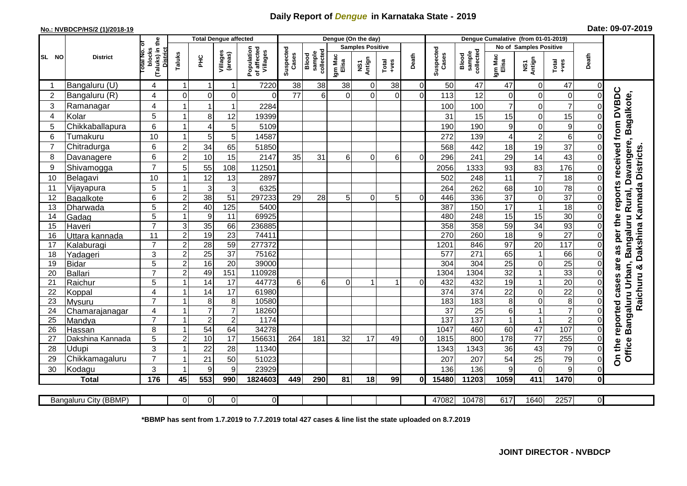## **Daily Report of** *Dengue* **in Karnataka State - 2019**

## **No.: NVBDCP/HS/2 (1)/2018-19 Date: 09-07-2019**

|                | <b>District</b>          |                                                          | <b>Total Dengue affected</b> |                 |                       |                                       |                    |                              |                         | Dengue (On the day) |                                                              |                |                    |                              |                        |                            |                 |                |                                                                                      |
|----------------|--------------------------|----------------------------------------------------------|------------------------------|-----------------|-----------------------|---------------------------------------|--------------------|------------------------------|-------------------------|---------------------|--------------------------------------------------------------|----------------|--------------------|------------------------------|------------------------|----------------------------|-----------------|----------------|--------------------------------------------------------------------------------------|
|                |                          | ō                                                        |                              |                 | Villages<br>(areas)   | Population<br>of affected<br>Villages |                    |                              | <b>Samples Positive</b> |                     |                                                              |                |                    |                              | No of Samples Positive |                            |                 |                |                                                                                      |
| <b>SL NO</b>   |                          | (Taluks) in the<br>blocks<br>otal No.<br><b>District</b> | Taluks<br>ЭHС                |                 |                       |                                       | Suspected<br>Cases | collected<br>sample<br>Blood | Igm Mac<br>Elisa        | Antign<br>Σ         | $\begin{array}{c}\n\text{Total} \\ \text{true}\n\end{array}$ | Death          | Suspected<br>Cases | sample<br>collected<br>Blood | Igm Mad<br>Elisa       | NS1<br>Antign              | Total<br>$-ves$ | Death          |                                                                                      |
|                | Bangaluru (U)            | 4                                                        |                              | -1              | 1                     | 7220                                  | 38                 | 38                           | 38                      | $\Omega$            | 38                                                           | $\overline{0}$ | 50                 | 47                           | 47                     | 0                          | 47              | 0              |                                                                                      |
| $\overline{2}$ | Bangaluru (R)            | 4                                                        | $\Omega$                     | $\Omega$        | 0                     | $\Omega$                              | 77                 | 6                            | $\Omega$                | $\mathbf 0$         | $\Omega$                                                     | $\overline{0}$ | 113                | 12                           | $\Omega$               | $\mathbf 0$                | 0               | $\Omega$       |                                                                                      |
| 3              | Ramanagar                | 4                                                        |                              | -1              | 1                     | 2284                                  |                    |                              |                         |                     |                                                              |                | 100                | 100                          | $\overline{7}$         | $\Omega$                   | $\overline{7}$  | ΩI             | <b>DVBDC</b><br>Bagalkote,                                                           |
| 4              | Kolar                    | 5                                                        |                              | 8               | 12                    | 19399                                 |                    |                              |                         |                     |                                                              |                | 31                 | 15                           | 15                     | $\mathbf 0$                | 15              | $\Omega$       |                                                                                      |
| 5              | Chikkaballapura          | 6                                                        |                              | $\overline{4}$  | 5                     | 5109                                  |                    |                              |                         |                     |                                                              |                | 190                | 190                          | $\boldsymbol{9}$       | $\mathbf 0$                | 9               | 0              |                                                                                      |
| 6              | Tumakuru                 | 10                                                       |                              | 5               | 5                     | 14587                                 |                    |                              |                         |                     |                                                              |                | 272                | 139                          | 4                      | $\overline{c}$             | 6               | $\Omega$       |                                                                                      |
| $\overline{7}$ | Chitradurga              | 6                                                        | $\overline{2}$               | 34              | 65                    | 51850                                 |                    |                              |                         |                     |                                                              |                | 568                | 442                          | 18                     | 19                         | 37              | $\Omega$       |                                                                                      |
| 8              | Davanagere               | 6                                                        | $\overline{2}$               | 10              | 15                    | 2147                                  | 35                 | 31                           | $6 \mid$                | $\Omega$            | 6                                                            | 0              | 296                | 241                          | 29                     | 14                         | 43              | $\Omega$       |                                                                                      |
| 9              | Shivamogga               | $\overline{7}$                                           | 5                            | 55              | 108                   | 112501                                |                    |                              |                         |                     |                                                              |                | 2056               | 1333                         | 93                     | 83                         | 176             | 0              | as per the reports received from<br>Rural, Davangere,<br>Dakshina Kannada Districts. |
| 10             | Belagavi                 | 10                                                       |                              | 12              | 13                    | 2897                                  |                    |                              |                         |                     |                                                              |                | 502                | 248                          | 11                     | $\overline{7}$             | 18              | 0              |                                                                                      |
| 11             | Vijayapura               | 5                                                        |                              | 3               | 3                     | 6325                                  |                    |                              |                         |                     |                                                              |                | 264                | 262                          | 68                     | 10                         | 78              | 0              |                                                                                      |
| 12             | Bagalkote                | $6\phantom{1}$                                           | $\overline{2}$               | 38              | $\overline{51}$       | 297233                                | 29                 | $\overline{28}$              | 5 <sup>1</sup>          | $\Omega$            | 5                                                            | $\Omega$       | 446                | 336                          | $\overline{37}$        | $\mathbf 0$                | $\overline{37}$ | $\Omega$       |                                                                                      |
| 13             | Dharwada                 | $\overline{5}$                                           | $\overline{2}$               | 40              | 125                   | 5400                                  |                    |                              |                         |                     |                                                              |                | 387                | 150                          | 17                     | $\mathbf{1}$               | 18              | $\overline{0}$ |                                                                                      |
| 14             | Gadag                    | 5                                                        |                              | 9               | 11                    | 69925                                 |                    |                              |                         |                     |                                                              |                | 480                | 248                          | 15                     | 15                         | $\overline{30}$ | $\Omega$       |                                                                                      |
| 15             | Haveri                   | $\overline{7}$                                           | 3                            | 35              | 66                    | 236885                                |                    |                              |                         |                     |                                                              |                | 358                | 358                          | 59                     | 34                         | 93              |                | Bangaluru                                                                            |
| 16             | Uttara kannada           | 11                                                       | $\mathbf 2$                  | 19              | 23                    | 74411                                 |                    |                              |                         |                     |                                                              |                | 270                | 260                          | $\overline{18}$        | $\overline{9}$             | $\overline{27}$ | $\Omega$       |                                                                                      |
| 17             | Kalaburagi               | $\overline{7}$                                           | $\overline{2}$               | 28              | 59                    | 277372                                |                    |                              |                         |                     |                                                              |                | 1201               | 846                          | 97                     | 20                         | 117             | $\Omega$       |                                                                                      |
| 18             | Yadageri                 | 3                                                        | $\overline{2}$               | $\overline{25}$ | $\overline{37}$       | 75162                                 |                    |                              |                         |                     |                                                              |                | 577                | 271                          | 65                     | $\mathbf{1}$               | 66              | $\Omega$       |                                                                                      |
| 19             | <b>Bidar</b>             | $\overline{5}$                                           | $\overline{2}$               | 16              | 20                    | 39000                                 |                    |                              |                         |                     |                                                              |                | $\overline{304}$   | 304                          | $\overline{25}$        | $\mathbf 0$                | $\overline{25}$ | $\overline{0}$ | are                                                                                  |
| 20             | Ballari                  | $\overline{7}$                                           | $\boldsymbol{2}$             | 49              | 151                   | 110928                                |                    |                              |                         |                     |                                                              |                | 1304               | 1304                         | $\overline{32}$        | $\overline{1}$             | 33              | $\Omega$       |                                                                                      |
| 21             | Raichur                  | $\overline{5}$                                           |                              | 14              | 17<br>$\overline{17}$ | 44773                                 | 6                  | 6                            | $\Omega$                |                     |                                                              | $\Omega$       | 432                | 432                          | $\overline{19}$        | $\overline{1}$             | $\overline{20}$ | $\Omega$       | cases                                                                                |
| 22<br>23       | Koppal                   | $\overline{4}$<br>$\overline{7}$                         |                              | 14<br>8         | 8                     | 61980<br>10580                        |                    |                              |                         |                     |                                                              |                | 374<br>183         | 374<br>183                   | 22<br>8                | $\mathbf 0$<br>$\mathbf 0$ | 22<br>8         | $\Omega$       | Raichuru &                                                                           |
| 24             | Mysuru<br>Chamarajanagar | $\overline{4}$                                           |                              | $\overline{7}$  | $\overline{7}$        | 18260                                 |                    |                              |                         |                     |                                                              |                | $\overline{37}$    | 25                           | 6                      |                            | $\overline{7}$  | $\Omega$       |                                                                                      |
| 25             | Mandya                   | $\overline{7}$                                           |                              | $\overline{2}$  | $\overline{c}$        | 1174                                  |                    |                              |                         |                     |                                                              |                | 137                | 137                          | 1                      | $\overline{1}$             | $\overline{2}$  | $\Omega$       |                                                                                      |
| 26             | Hassan                   | 8                                                        |                              | 54              | 64                    | 34278                                 |                    |                              |                         |                     |                                                              |                | 1047               | 460                          | 60                     | $\overline{47}$            | 107             | $\overline{0}$ | Bangaluru Urban,                                                                     |
| 27             | Dakshina Kannada         | $\overline{5}$                                           | $\overline{2}$               | 10              | 17                    | 156631                                | 264                | 181                          | $\overline{32}$         | $\overline{17}$     | 49                                                           | $\Omega$       | 1815               | 800                          | 178                    | $\overline{77}$            | 255             | $\overline{0}$ |                                                                                      |
| 28             | <b>Udupi</b>             | 3                                                        |                              | 22              | 28                    | 11340                                 |                    |                              |                         |                     |                                                              |                | 1343               | 1343                         | 36                     | 43                         | 79              | $\overline{0}$ |                                                                                      |
| 29             | Chikkamagaluru           | $\overline{7}$                                           |                              | 21              | 50                    | 51023                                 |                    |                              |                         |                     |                                                              |                | 207                | 207                          | 54                     | 25                         | 79              | $\overline{0}$ | On the reported<br>Office                                                            |
| 30             | Kodagu                   | 3                                                        |                              | 9               | 9                     | 23929                                 |                    |                              |                         |                     |                                                              |                | 136                | 136                          | 9                      | $\mathbf 0$                | 9               | $\overline{0}$ |                                                                                      |
|                | <b>Total</b>             | 176                                                      | 45                           | 553             | 990                   | 1824603                               | 449                | 290                          | 81                      | 18                  | 99                                                           | 0              | 15480              | 11203                        | 1059                   | 411                        | 1470            | $\mathbf{0}$   |                                                                                      |
|                |                          |                                                          |                              |                 |                       |                                       |                    |                              |                         |                     |                                                              |                |                    |                              |                        |                            |                 |                |                                                                                      |
|                | Bangaluru City (BBMP)    |                                                          | $\Omega$                     | $\Omega$        | $\overline{0}$        | $\mathbf{0}$                          |                    |                              |                         |                     |                                                              |                | 47082              | 10478                        | 617                    | 1640                       | 2257            | $\overline{0}$ |                                                                                      |

**\*BBMP has sent from 1.7.2019 to 7.7.2019 total 427 cases & line list the state uploaded on 8.7.2019**